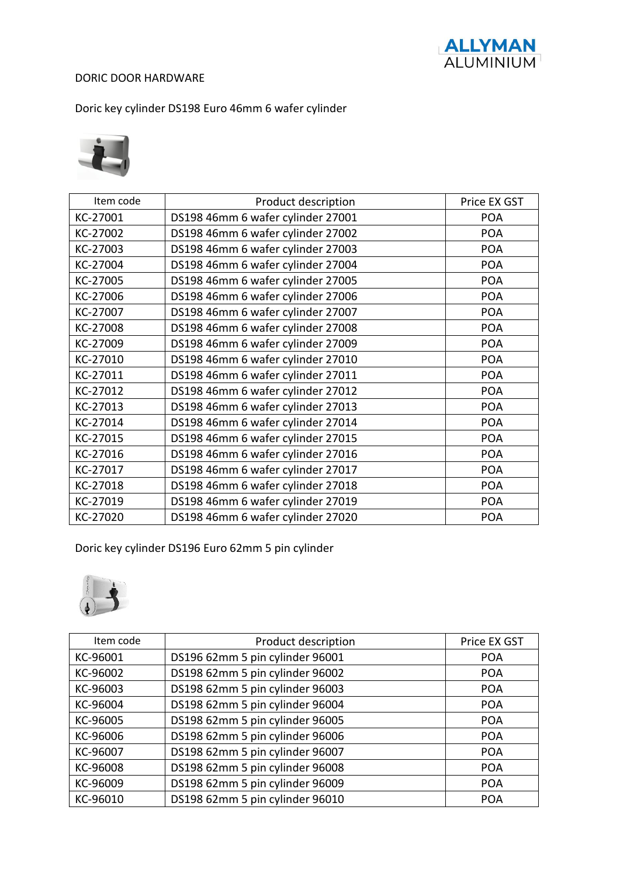

### DORIC DOOR HARDWARE

Doric key cylinder DS198 Euro 46mm 6 wafer cylinder



| Item code | Product description               | Price EX GST |
|-----------|-----------------------------------|--------------|
| KC-27001  | DS198 46mm 6 wafer cylinder 27001 | <b>POA</b>   |
| KC-27002  | DS198 46mm 6 wafer cylinder 27002 | <b>POA</b>   |
| KC-27003  | DS198 46mm 6 wafer cylinder 27003 | <b>POA</b>   |
| KC-27004  | DS198 46mm 6 wafer cylinder 27004 | <b>POA</b>   |
| KC-27005  | DS198 46mm 6 wafer cylinder 27005 | <b>POA</b>   |
| KC-27006  | DS198 46mm 6 wafer cylinder 27006 | <b>POA</b>   |
| KC-27007  | DS198 46mm 6 wafer cylinder 27007 | <b>POA</b>   |
| KC-27008  | DS198 46mm 6 wafer cylinder 27008 | <b>POA</b>   |
| KC-27009  | DS198 46mm 6 wafer cylinder 27009 | <b>POA</b>   |
| KC-27010  | DS198 46mm 6 wafer cylinder 27010 | <b>POA</b>   |
| KC-27011  | DS198 46mm 6 wafer cylinder 27011 | <b>POA</b>   |
| KC-27012  | DS198 46mm 6 wafer cylinder 27012 | <b>POA</b>   |
| KC-27013  | DS198 46mm 6 wafer cylinder 27013 | <b>POA</b>   |
| KC-27014  | DS198 46mm 6 wafer cylinder 27014 | <b>POA</b>   |
| KC-27015  | DS198 46mm 6 wafer cylinder 27015 | <b>POA</b>   |
| KC-27016  | DS198 46mm 6 wafer cylinder 27016 | <b>POA</b>   |
| KC-27017  | DS198 46mm 6 wafer cylinder 27017 | <b>POA</b>   |
| KC-27018  | DS198 46mm 6 wafer cylinder 27018 | <b>POA</b>   |
| KC-27019  | DS198 46mm 6 wafer cylinder 27019 | <b>POA</b>   |
| KC-27020  | DS198 46mm 6 wafer cylinder 27020 | <b>POA</b>   |

Doric key cylinder DS196 Euro 62mm 5 pin cylinder



| Item code | Product description             | Price EX GST |
|-----------|---------------------------------|--------------|
| KC-96001  | DS196 62mm 5 pin cylinder 96001 | <b>POA</b>   |
| KC-96002  | DS198 62mm 5 pin cylinder 96002 | <b>POA</b>   |
| KC-96003  | DS198 62mm 5 pin cylinder 96003 | <b>POA</b>   |
| KC-96004  | DS198 62mm 5 pin cylinder 96004 | <b>POA</b>   |
| KC-96005  | DS198 62mm 5 pin cylinder 96005 | <b>POA</b>   |
| KC-96006  | DS198 62mm 5 pin cylinder 96006 | <b>POA</b>   |
| KC-96007  | DS198 62mm 5 pin cylinder 96007 | <b>POA</b>   |
| KC-96008  | DS198 62mm 5 pin cylinder 96008 | <b>POA</b>   |
| KC-96009  | DS198 62mm 5 pin cylinder 96009 | <b>POA</b>   |
| KC-96010  | DS198 62mm 5 pin cylinder 96010 | <b>POA</b>   |